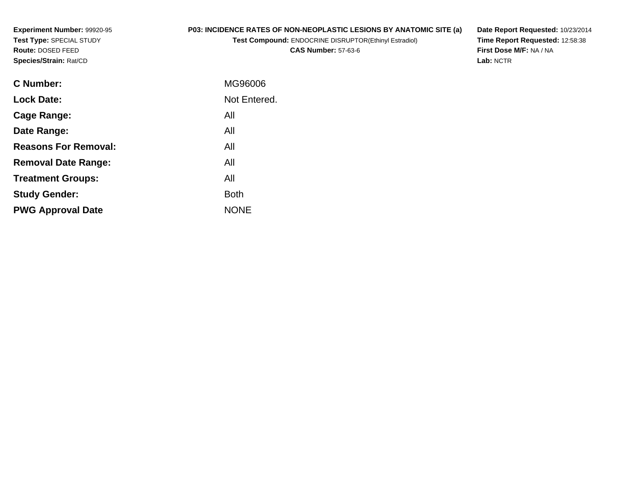**Experiment Number:** 99920-95**Test Type:** SPECIAL STUDY**Route:** DOSED FEED**Species/Strain:** Rat/CD

# **P03: INCIDENCE RATES OF NON-NEOPLASTIC LESIONS BY ANATOMIC SITE (a)**

**Test Compound:** ENDOCRINE DISRUPTOR(Ethinyl Estradiol)

**CAS Number:** 57-63-6

**Date Report Requested:** 10/23/2014 **Time Report Requested:** 12:58:38**First Dose M/F:** NA / NA**Lab:** NCTR

| <b>C</b> Number:            | MG96006      |
|-----------------------------|--------------|
| <b>Lock Date:</b>           | Not Entered. |
| Cage Range:                 | All          |
| Date Range:                 | All          |
| <b>Reasons For Removal:</b> | All          |
| <b>Removal Date Range:</b>  | All          |
| <b>Treatment Groups:</b>    | All          |
| <b>Study Gender:</b>        | <b>Both</b>  |
| <b>PWG Approval Date</b>    | <b>NONE</b>  |
|                             |              |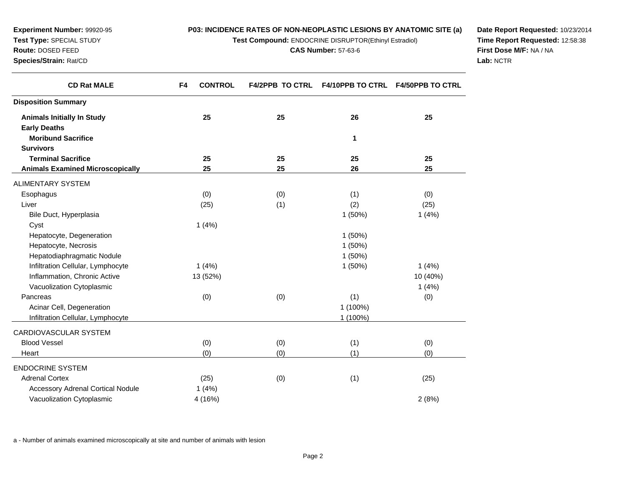**Test Compound:** ENDOCRINE DISRUPTOR(Ethinyl Estradiol)

**CAS Number:** 57-63-6

**Date Report Requested:** 10/23/2014**Time Report Requested:** 12:58:38**First Dose M/F:** NA / NA**Lab:** NCTR

| <b>CD Rat MALE</b>                      | F4<br><b>CONTROL</b> | <b>F4/2PPB TO CTRL</b> |          | F4/10PPB TO CTRL F4/50PPB TO CTRL |
|-----------------------------------------|----------------------|------------------------|----------|-----------------------------------|
| <b>Disposition Summary</b>              |                      |                        |          |                                   |
| <b>Animals Initially In Study</b>       | 25                   | 25                     | 26       | 25                                |
| <b>Early Deaths</b>                     |                      |                        |          |                                   |
| <b>Moribund Sacrifice</b>               |                      |                        | 1        |                                   |
| <b>Survivors</b>                        |                      |                        |          |                                   |
| <b>Terminal Sacrifice</b>               | 25                   | 25                     | 25       | 25                                |
| <b>Animals Examined Microscopically</b> | 25                   | 25                     | 26       | 25                                |
| ALIMENTARY SYSTEM                       |                      |                        |          |                                   |
| Esophagus                               | (0)                  | (0)                    | (1)      | (0)                               |
| Liver                                   | (25)                 | (1)                    | (2)      | (25)                              |
| Bile Duct, Hyperplasia                  |                      |                        | 1(50%)   | 1(4%)                             |
| Cyst                                    | 1(4%)                |                        |          |                                   |
| Hepatocyte, Degeneration                |                      |                        | 1(50%)   |                                   |
| Hepatocyte, Necrosis                    |                      |                        | 1(50%)   |                                   |
| Hepatodiaphragmatic Nodule              |                      |                        | 1(50%)   |                                   |
| Infiltration Cellular, Lymphocyte       | 1(4%)                |                        | 1(50%)   | 1(4%)                             |
| Inflammation, Chronic Active            | 13 (52%)             |                        |          | 10 (40%)                          |
| Vacuolization Cytoplasmic               |                      |                        |          | 1(4%)                             |
| Pancreas                                | (0)                  | (0)                    | (1)      | (0)                               |
| Acinar Cell, Degeneration               |                      |                        | 1 (100%) |                                   |
| Infiltration Cellular, Lymphocyte       |                      |                        | 1 (100%) |                                   |
| CARDIOVASCULAR SYSTEM                   |                      |                        |          |                                   |
| <b>Blood Vessel</b>                     | (0)                  | (0)                    | (1)      | (0)                               |
| Heart                                   | (0)                  | (0)                    | (1)      | (0)                               |
| <b>ENDOCRINE SYSTEM</b>                 |                      |                        |          |                                   |
| <b>Adrenal Cortex</b>                   | (25)                 | (0)                    | (1)      | (25)                              |
| Accessory Adrenal Cortical Nodule       | 1(4%)                |                        |          |                                   |
| Vacuolization Cytoplasmic               | 4 (16%)              |                        |          | 2(8%)                             |
|                                         |                      |                        |          |                                   |

a - Number of animals examined microscopically at site and number of animals with lesion

**Experiment Number:** 99920-95**Test Type:** SPECIAL STUDY**Route:** DOSED FEED**Species/Strain:** Rat/CD

 $\overline{\phantom{0}}$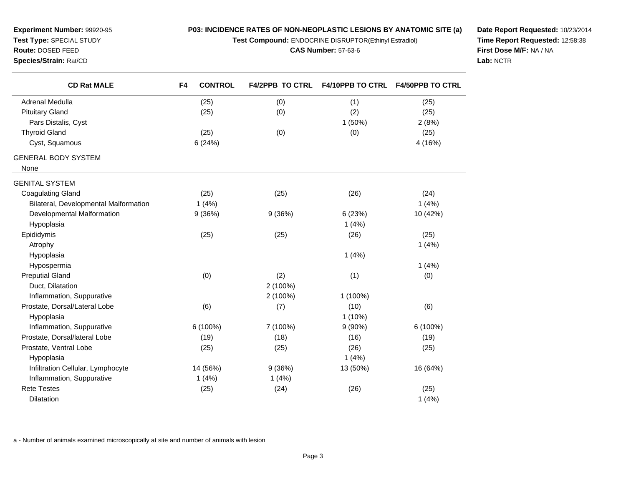**Test Compound:** ENDOCRINE DISRUPTOR(Ethinyl Estradiol)

#### **CAS Number:** 57-63-6

**Date Report Requested:** 10/23/2014**Time Report Requested:** 12:58:38**First Dose M/F:** NA / NA**Lab:** NCTR

| <b>Route: DOSED FEED</b> |
|--------------------------|
| Species/Strain: Rat/CD   |

**Experiment Number:** 99920-95**Test Type:** SPECIAL STUDY

| <b>CD Rat MALE</b>                    | F4 | <b>CONTROL</b> | <b>F4/2PPB TO CTRL</b> | <b>F4/10PPB TO CTRL</b> | <b>F4/50PPB TO CTRL</b> |
|---------------------------------------|----|----------------|------------------------|-------------------------|-------------------------|
| Adrenal Medulla                       |    | (25)           | (0)                    | (1)                     | (25)                    |
| <b>Pituitary Gland</b>                |    | (25)           | (0)                    | (2)                     | (25)                    |
| Pars Distalis, Cyst                   |    |                |                        | 1(50%)                  | 2(8%)                   |
| <b>Thyroid Gland</b>                  |    | (25)           | (0)                    | (0)                     | (25)                    |
| Cyst, Squamous                        |    | 6(24%)         |                        |                         | 4 (16%)                 |
| <b>GENERAL BODY SYSTEM</b>            |    |                |                        |                         |                         |
| None                                  |    |                |                        |                         |                         |
| <b>GENITAL SYSTEM</b>                 |    |                |                        |                         |                         |
| <b>Coagulating Gland</b>              |    | (25)           | (25)                   | (26)                    | (24)                    |
| Bilateral, Developmental Malformation |    | 1(4%)          |                        |                         | 1(4%)                   |
| Developmental Malformation            |    | 9(36%)         | 9(36%)                 | 6(23%)                  | 10 (42%)                |
| Hypoplasia                            |    |                |                        | 1(4%)                   |                         |
| Epididymis                            |    | (25)           | (25)                   | (26)                    | (25)                    |
| Atrophy                               |    |                |                        |                         | 1(4%)                   |
| Hypoplasia                            |    |                |                        | 1(4%)                   |                         |
| Hypospermia                           |    |                |                        |                         | 1(4%)                   |
| <b>Preputial Gland</b>                |    | (0)            | (2)                    | (1)                     | (0)                     |
| Duct, Dilatation                      |    |                | 2 (100%)               |                         |                         |
| Inflammation, Suppurative             |    |                | 2 (100%)               | 1 (100%)                |                         |
| Prostate, Dorsal/Lateral Lobe         |    | (6)            | (7)                    | (10)                    | (6)                     |
| Hypoplasia                            |    |                |                        | $1(10\%)$               |                         |
| Inflammation, Suppurative             |    | 6 (100%)       | 7 (100%)               | $9(90\%)$               | 6 (100%)                |
| Prostate, Dorsal/lateral Lobe         |    | (19)           | (18)                   | (16)                    | (19)                    |
| Prostate, Ventral Lobe                |    | (25)           | (25)                   | (26)                    | (25)                    |
| Hypoplasia                            |    |                |                        | 1(4%)                   |                         |
| Infiltration Cellular, Lymphocyte     |    | 14 (56%)       | 9(36%)                 | 13 (50%)                | 16 (64%)                |
| Inflammation, Suppurative             |    | 1(4%)          | 1(4%)                  |                         |                         |
| <b>Rete Testes</b>                    |    | (25)           | (24)                   | (26)                    | (25)                    |
| Dilatation                            |    |                |                        |                         | 1(4%)                   |

a - Number of animals examined microscopically at site and number of animals with lesion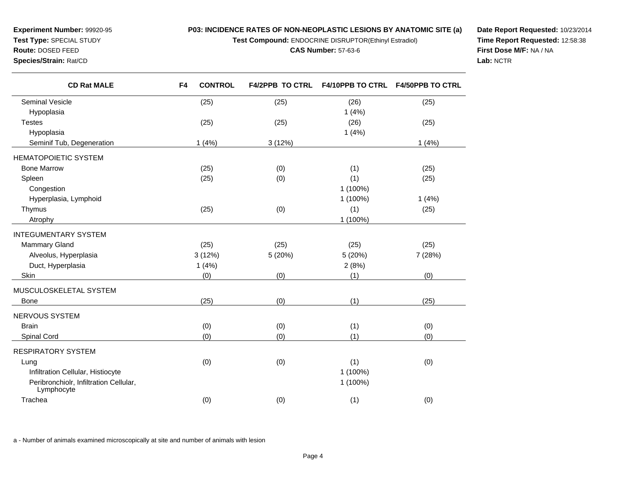**Test Compound:** ENDOCRINE DISRUPTOR(Ethinyl Estradiol)

**CAS Number:** 57-63-6

**Date Report Requested:** 10/23/2014**Time Report Requested:** 12:58:38**First Dose M/F:** NA / NA**Lab:** NCTR

| <b>CD Rat MALE</b>                                   | <b>CONTROL</b><br>F4 | <b>F4/2PPB TO CTRL</b> | <b>F4/10PPB TO CTRL</b> | <b>F4/50PPB TO CTRL</b> |
|------------------------------------------------------|----------------------|------------------------|-------------------------|-------------------------|
| <b>Seminal Vesicle</b>                               | (25)                 | (25)                   | (26)                    | (25)                    |
| Hypoplasia                                           |                      |                        | 1(4%)                   |                         |
| <b>Testes</b>                                        | (25)                 | (25)                   | (26)                    | (25)                    |
| Hypoplasia                                           |                      |                        | 1(4%)                   |                         |
| Seminif Tub, Degeneration                            | 1(4%)                | 3(12%)                 |                         | 1(4%)                   |
| <b>HEMATOPOIETIC SYSTEM</b>                          |                      |                        |                         |                         |
| <b>Bone Marrow</b>                                   | (25)                 | (0)                    | (1)                     | (25)                    |
| Spleen                                               | (25)                 | (0)                    | (1)                     | (25)                    |
| Congestion                                           |                      |                        | 1 (100%)                |                         |
| Hyperplasia, Lymphoid                                |                      |                        | 1 (100%)                | 1(4%)                   |
| Thymus                                               | (25)                 | (0)                    | (1)                     | (25)                    |
| Atrophy                                              |                      |                        | 1 (100%)                |                         |
| <b>INTEGUMENTARY SYSTEM</b>                          |                      |                        |                         |                         |
| <b>Mammary Gland</b>                                 | (25)                 | (25)                   | (25)                    | (25)                    |
| Alveolus, Hyperplasia                                | 3(12%)               | 5 (20%)                | 5 (20%)                 | 7 (28%)                 |
| Duct, Hyperplasia                                    | 1(4%)                |                        | 2(8%)                   |                         |
| Skin                                                 | (0)                  | (0)                    | (1)                     | (0)                     |
| MUSCULOSKELETAL SYSTEM                               |                      |                        |                         |                         |
| <b>Bone</b>                                          | (25)                 | (0)                    | (1)                     | (25)                    |
| NERVOUS SYSTEM                                       |                      |                        |                         |                         |
| <b>Brain</b>                                         | (0)                  | (0)                    | (1)                     | (0)                     |
| Spinal Cord                                          | (0)                  | (0)                    | (1)                     | (0)                     |
| <b>RESPIRATORY SYSTEM</b>                            |                      |                        |                         |                         |
| Lung                                                 | (0)                  | (0)                    | (1)                     | (0)                     |
| Infiltration Cellular, Histiocyte                    |                      |                        | 1 (100%)                |                         |
| Peribronchiolr, Infiltration Cellular,<br>Lymphocyte |                      |                        | 1 (100%)                |                         |
| Trachea                                              | (0)                  | (0)                    | (1)                     | (0)                     |

a - Number of animals examined microscopically at site and number of animals with lesion

**Experiment Number:** 99920-95**Test Type:** SPECIAL STUDY**Route:** DOSED FEED**Species/Strain:** Rat/CD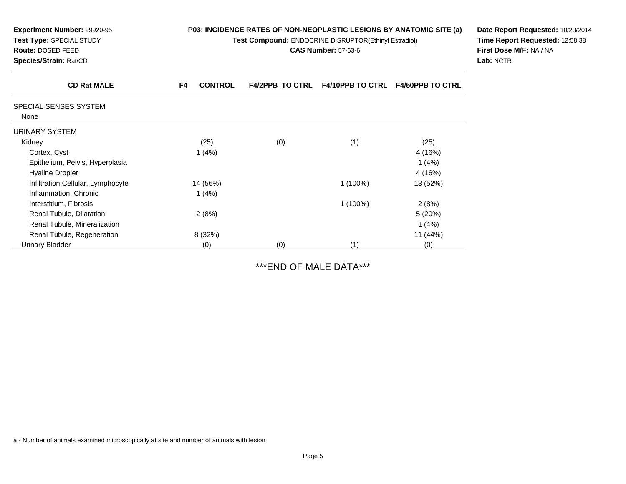| Experiment Number: 99920-95<br>Test Type: SPECIAL STUDY<br>Route: DOSED FEED<br>Species/Strain: Rat/CD | P03: INCIDENCE RATES OF NON-NEOPLASTIC LESIONS BY ANATOMIC SITE (a)<br>Test Compound: ENDOCRINE DISRUPTOR(Ethinyl Estradiol)<br><b>CAS Number: 57-63-6</b> |                        |                  |                         | Date Report Requested: 10/23/2014<br>Time Report Requested: 12:58:38<br>First Dose M/F: NA / NA<br>Lab: NCTR |
|--------------------------------------------------------------------------------------------------------|------------------------------------------------------------------------------------------------------------------------------------------------------------|------------------------|------------------|-------------------------|--------------------------------------------------------------------------------------------------------------|
| <b>CD Rat MALE</b>                                                                                     | <b>CONTROL</b><br>F4                                                                                                                                       | <b>F4/2PPB TO CTRL</b> | F4/10PPB TO CTRL | <b>F4/50PPB TO CTRL</b> |                                                                                                              |
| SPECIAL SENSES SYSTEM<br>None                                                                          |                                                                                                                                                            |                        |                  |                         |                                                                                                              |
| <b>URINARY SYSTEM</b>                                                                                  |                                                                                                                                                            |                        |                  |                         |                                                                                                              |
| Kidney                                                                                                 | (25)                                                                                                                                                       | (0)                    | (1)              | (25)                    |                                                                                                              |
| Cortex, Cyst                                                                                           | 1(4%)                                                                                                                                                      |                        |                  | 4 (16%)                 |                                                                                                              |
| Epithelium, Pelvis, Hyperplasia                                                                        |                                                                                                                                                            |                        |                  | 1(4%)                   |                                                                                                              |
| <b>Hyaline Droplet</b>                                                                                 |                                                                                                                                                            |                        |                  | 4 (16%)                 |                                                                                                              |
| Infiltration Cellular, Lymphocyte                                                                      | 14 (56%)                                                                                                                                                   |                        | $1(100\%)$       | 13 (52%)                |                                                                                                              |
| Inflammation, Chronic                                                                                  | 1 $(4%)$                                                                                                                                                   |                        |                  |                         |                                                                                                              |
| Interstitium, Fibrosis                                                                                 |                                                                                                                                                            |                        | 1 (100%)         | 2(8%)                   |                                                                                                              |
| Renal Tubule, Dilatation                                                                               | 2(8%)                                                                                                                                                      |                        |                  | 5(20%)                  |                                                                                                              |
| Renal Tubule, Mineralization                                                                           |                                                                                                                                                            |                        |                  | 1(4%)                   |                                                                                                              |
| Renal Tubule, Regeneration                                                                             | 8 (32%)                                                                                                                                                    |                        |                  | 11 (44%)                |                                                                                                              |
| <b>Urinary Bladder</b>                                                                                 | (0)                                                                                                                                                        | (0)                    | (1)              | (0)                     |                                                                                                              |

# \*\*\*END OF MALE DATA\*\*\*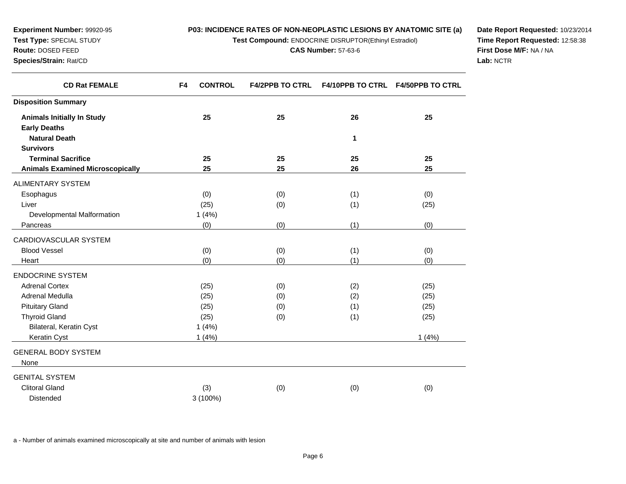**Test Compound:** ENDOCRINE DISRUPTOR(Ethinyl Estradiol)

**CAS Number:** 57-63-6

**Date Report Requested:** 10/23/2014**Time Report Requested:** 12:58:38**First Dose M/F:** NA / NA**Lab:** NCTR

| <b>CD Rat FEMALE</b>                    | F4<br><b>CONTROL</b> | <b>F4/2PPB TO CTRL</b> |     | F4/10PPB TO CTRL F4/50PPB TO CTRL |
|-----------------------------------------|----------------------|------------------------|-----|-----------------------------------|
| <b>Disposition Summary</b>              |                      |                        |     |                                   |
| <b>Animals Initially In Study</b>       | 25                   | 25                     | 26  | 25                                |
| <b>Early Deaths</b>                     |                      |                        |     |                                   |
| <b>Natural Death</b>                    |                      |                        | 1   |                                   |
| <b>Survivors</b>                        |                      |                        |     |                                   |
| <b>Terminal Sacrifice</b>               | 25                   | 25                     | 25  | 25                                |
| <b>Animals Examined Microscopically</b> | 25                   | 25                     | 26  | 25                                |
| <b>ALIMENTARY SYSTEM</b>                |                      |                        |     |                                   |
| Esophagus                               | (0)                  | (0)                    | (1) | (0)                               |
| Liver                                   | (25)                 | (0)                    | (1) | (25)                              |
| Developmental Malformation              | 1(4%)                |                        |     |                                   |
| Pancreas                                | (0)                  | (0)                    | (1) | (0)                               |
| CARDIOVASCULAR SYSTEM                   |                      |                        |     |                                   |
| <b>Blood Vessel</b>                     | (0)                  | (0)                    | (1) | (0)                               |
| Heart                                   | (0)                  | (0)                    | (1) | (0)                               |
| <b>ENDOCRINE SYSTEM</b>                 |                      |                        |     |                                   |
| <b>Adrenal Cortex</b>                   | (25)                 | (0)                    | (2) | (25)                              |
| Adrenal Medulla                         | (25)                 | (0)                    | (2) | (25)                              |
| <b>Pituitary Gland</b>                  | (25)                 | (0)                    | (1) | (25)                              |
| <b>Thyroid Gland</b>                    | (25)                 | (0)                    | (1) | (25)                              |
| Bilateral, Keratin Cyst                 | 1(4%)                |                        |     |                                   |
| Keratin Cyst                            | 1(4%)                |                        |     | 1(4%)                             |
| <b>GENERAL BODY SYSTEM</b>              |                      |                        |     |                                   |
| None                                    |                      |                        |     |                                   |
| <b>GENITAL SYSTEM</b>                   |                      |                        |     |                                   |
| <b>Clitoral Gland</b>                   | (3)                  | (0)                    | (0) | (0)                               |
| <b>Distended</b>                        | 3 (100%)             |                        |     |                                   |

a - Number of animals examined microscopically at site and number of animals with lesion

**Experiment Number:** 99920-95**Test Type:** SPECIAL STUDY**Route:** DOSED FEED**Species/Strain:** Rat/CD

 $\overline{\phantom{0}}$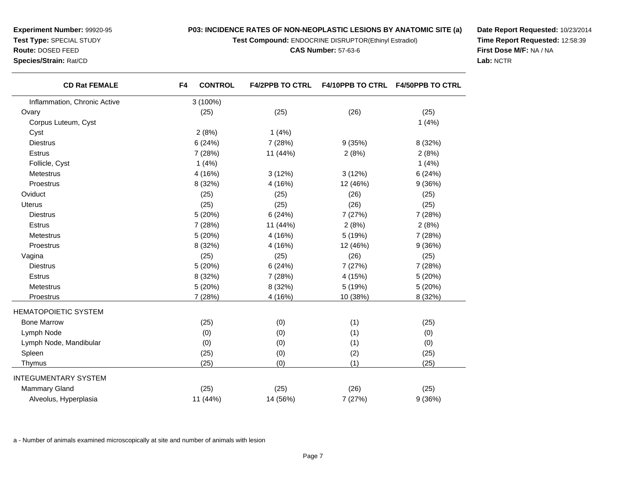**Test Compound:** ENDOCRINE DISRUPTOR(Ethinyl Estradiol)

**CAS Number:** 57-63-6

**Date Report Requested:** 10/23/2014**Time Report Requested:** 12:58:39**First Dose M/F:** NA / NA**Lab:** NCTR

| <b>Experiment Number: 99920-95</b> |
|------------------------------------|
| <b>Test Type: SPECIAL STUDY</b>    |
| <b>Route: DOSED FEED</b>           |
| Species/Strain: Rat/CD             |

|                              |                      |          | <b>F4/50PPB TO CTRL</b> |
|------------------------------|----------------------|----------|-------------------------|
| Inflammation, Chronic Active | 3 (100%)             |          |                         |
| Ovary                        | (25)<br>(25)         | (26)     | (25)                    |
| Corpus Luteum, Cyst          |                      |          | 1(4%)                   |
| Cyst                         | 2(8%)<br>1(4%)       |          |                         |
| <b>Diestrus</b>              | 6(24%)<br>7 (28%)    | 9(35%)   | 8 (32%)                 |
| <b>Estrus</b>                | 11 (44%)<br>7 (28%)  | 2(8%)    | 2(8%)                   |
| Follicle, Cyst               | 1(4%)                |          | 1(4%)                   |
| Metestrus                    | 4 (16%)<br>3(12%)    | 3(12%)   | 6(24%)                  |
| Proestrus                    | 8 (32%)<br>4 (16%)   | 12 (46%) | 9(36%)                  |
| Oviduct                      | (25)<br>(25)         | (26)     | (25)                    |
| Uterus                       | (25)<br>(25)         | (26)     | (25)                    |
| <b>Diestrus</b>              | 5 (20%)<br>6(24%)    | 7 (27%)  | 7 (28%)                 |
| <b>Estrus</b>                | 11 (44%)<br>7(28%)   | 2(8%)    | 2(8%)                   |
| Metestrus                    | 5 (20%)<br>4(16%)    | 5 (19%)  | 7 (28%)                 |
| Proestrus                    | 8 (32%)<br>4 (16%)   | 12 (46%) | 9(36%)                  |
| Vagina                       | (25)<br>(25)         | (26)     | (25)                    |
| <b>Diestrus</b>              | 5 (20%)<br>6(24%)    | 7 (27%)  | 7 (28%)                 |
| <b>Estrus</b>                | 8 (32%)<br>7 (28%)   | 4 (15%)  | 5 (20%)                 |
| Metestrus                    | 5 (20%)<br>8 (32%)   | 5 (19%)  | 5 (20%)                 |
| Proestrus                    | 7 (28%)<br>4 (16%)   | 10 (38%) | 8 (32%)                 |
| HEMATOPOIETIC SYSTEM         |                      |          |                         |
| <b>Bone Marrow</b>           | (25)<br>(0)          | (1)      | (25)                    |
| Lymph Node                   | (0)<br>(0)           | (1)      | (0)                     |
| Lymph Node, Mandibular       | (0)<br>(0)           | (1)      | (0)                     |
| Spleen                       | (0)<br>(25)          | (2)      | (25)                    |
| Thymus                       | (25)<br>(0)          | (1)      | (25)                    |
| INTEGUMENTARY SYSTEM         |                      |          |                         |
| <b>Mammary Gland</b>         | (25)<br>(25)         | (26)     | (25)                    |
| Alveolus, Hyperplasia        | 11 (44%)<br>14 (56%) | 7 (27%)  | 9(36%)                  |

a - Number of animals examined microscopically at site and number of animals with lesion